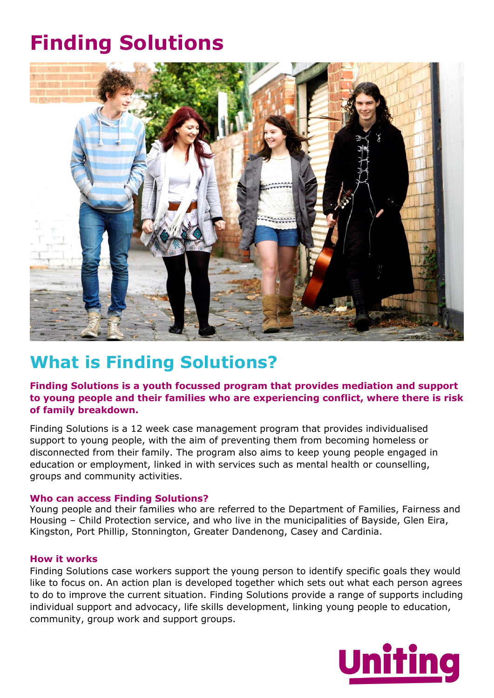# **Finding Solutions**



# **What is Finding Solutions?**

# **Finding Solutions is a youth focussed program that provides mediation and support to young people and their families who are experiencing conflict, where there is risk of family breakdown.**

Finding Solutions is a 12 week case management program that provides individualised support to young people, with the aim of preventing them from becoming homeless or disconnected from their family. The program also aims to keep young people engaged in education or employment, linked in with services such as mental health or counselling, groups and community activities.

## **Who can access Finding Solutions?**

Young people and their families who are referred to the Department of Families, Fairness and Housing – Child Protection service, and who live in the municipalities of Bayside, Glen Eira, Kingston, Port Phillip, Stonnington, Greater Dandenong, Casey and Cardinia.

### **How it works**

Finding Solutions case workers support the young person to identify specific goals they would like to focus on. An action plan is developed together which sets out what each person agrees to do to improve the current situation. Finding Solutions provide a range of supports including individual support and advocacy, life skills development, linking young people to education, community, group work and support groups.